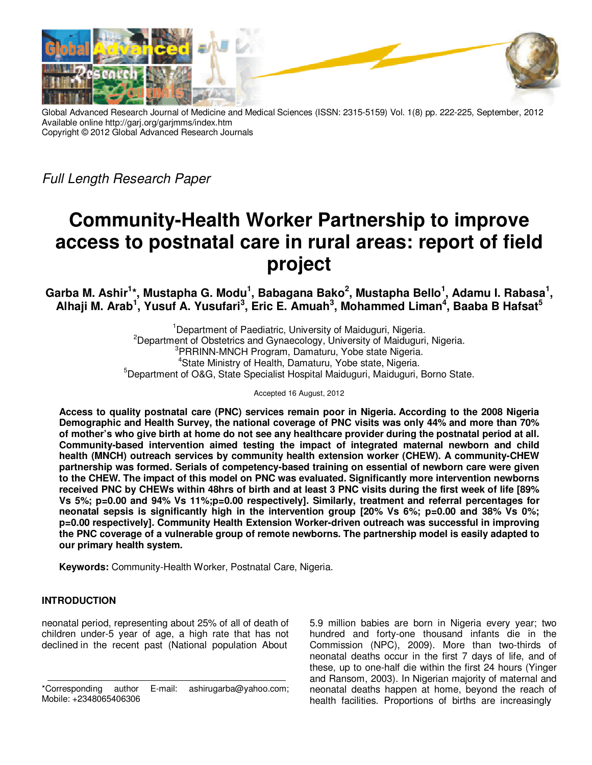

Global Advanced Research Journal of Medicine and Medical Sciences (ISSN: 2315-5159) Vol. 1(8) pp. 222-225, September, 2012 Available online http://garj.org/garjmms/index.htm Copyright © 2012 Global Advanced Research Journals

Full Length Research Paper

# **Community-Health Worker Partnership to improve access to postnatal care in rural areas: report of field project**

**Garba M. Ashir<sup>1</sup> \*, Mustapha G. Modu<sup>1</sup> , Babagana Bako<sup>2</sup> , Mustapha Bello<sup>1</sup> , Adamu I. Rabasa<sup>1</sup> ,**  Alhaji M. Arab<sup>1</sup>, Yusuf A. Yusufari<sup>3</sup>, Eric E. Amuah<sup>3</sup>, Mohammed Liman<sup>4</sup>, Baaba B Hafsat<sup>5</sup>

> <sup>1</sup>Department of Paediatric, University of Maiduguri, Nigeria.  $2$ Department of Obstetrics and Gynaecology, University of Maiduguri, Nigeria. <sup>3</sup>PRRINN-MNCH Program, Damaturu, Yobe state Nigeria. <sup>4</sup>State Ministry of Health, Damaturu, Yobe state, Nigeria. <sup>5</sup>Department of O&G, State Specialist Hospital Maiduguri, Maiduguri, Borno State.

> > Accepted 16 August, 2012

**Access to quality postnatal care (PNC) services remain poor in Nigeria. According to the 2008 Nigeria Demographic and Health Survey, the national coverage of PNC visits was only 44% and more than 70% of mother's who give birth at home do not see any healthcare provider during the postnatal period at all. Community-based intervention aimed testing the impact of integrated maternal newborn and child health (MNCH) outreach services by community health extension worker (CHEW). A community-CHEW partnership was formed. Serials of competency-based training on essential of newborn care were given to the CHEW. The impact of this model on PNC was evaluated. Significantly more intervention newborns received PNC by CHEWs within 48hrs of birth and at least 3 PNC visits during the first week of life [89% Vs 5%; p=0.00 and 94% Vs 11%;p=0.00 respectively]. Similarly, treatment and referral percentages for neonatal sepsis is significantly high in the intervention group [20% Vs 6%; p=0.00 and 38% Vs 0%; p=0.00 respectively]. Community Health Extension Worker-driven outreach was successful in improving the PNC coverage of a vulnerable group of remote newborns. The partnership model is easily adapted to our primary health system.** 

**Keywords:** Community-Health Worker, Postnatal Care, Nigeria.

# **INTRODUCTION**

neonatal period, representing about 25% of all of death of children under-5 year of age, a high rate that has not declined in the recent past (National population About

5.9 million babies are born in Nigeria every year; two hundred and forty-one thousand infants die in the Commission (NPC), 2009). More than two-thirds of neonatal deaths occur in the first 7 days of life, and of these, up to one-half die within the first 24 hours (Yinger and Ransom, 2003). In Nigerian majority of maternal and neonatal deaths happen at home, beyond the reach of health facilities. Proportions of births are increasingly

<sup>\*</sup>Corresponding author E-mail: ashirugarba@yahoo.com; Mobile: +2348065406306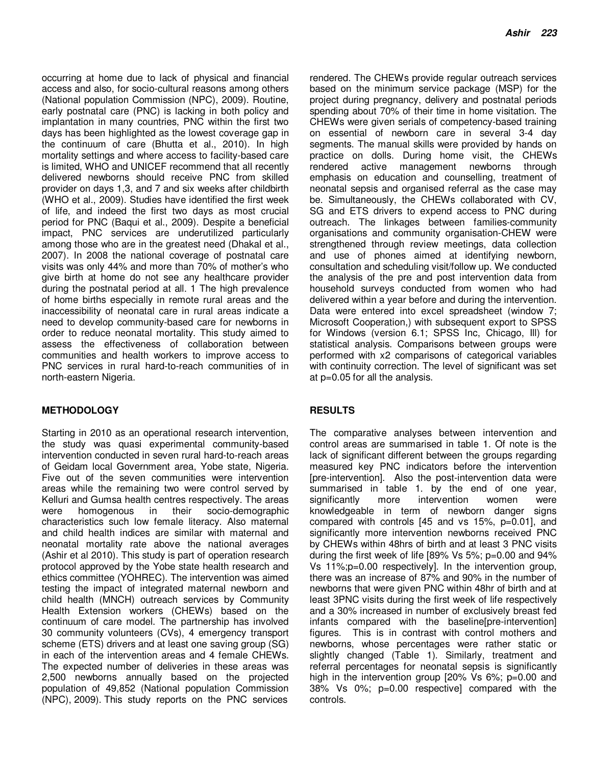occurring at home due to lack of physical and financial access and also, for socio-cultural reasons among others (National population Commission (NPC), 2009). Routine, early postnatal care (PNC) is lacking in both policy and implantation in many countries, PNC within the first two days has been highlighted as the lowest coverage gap in the continuum of care (Bhutta et al., 2010). In high mortality settings and where access to facility-based care is limited, WHO and UNICEF recommend that all recently delivered newborns should receive PNC from skilled provider on days 1,3, and 7 and six weeks after childbirth (WHO et al., 2009). Studies have identified the first week of life, and indeed the first two days as most crucial period for PNC (Baqui et al., 2009). Despite a beneficial impact, PNC services are underutilized particularly among those who are in the greatest need (Dhakal et al., 2007). In 2008 the national coverage of postnatal care visits was only 44% and more than 70% of mother's who give birth at home do not see any healthcare provider during the postnatal period at all. 1 The high prevalence of home births especially in remote rural areas and the inaccessibility of neonatal care in rural areas indicate a need to develop community-based care for newborns in order to reduce neonatal mortality. This study aimed to assess the effectiveness of collaboration between communities and health workers to improve access to PNC services in rural hard-to-reach communities of in north-eastern Nigeria.

## **METHODOLOGY**

Starting in 2010 as an operational research intervention, the study was quasi experimental community-based intervention conducted in seven rural hard-to-reach areas of Geidam local Government area, Yobe state, Nigeria. Five out of the seven communities were intervention areas while the remaining two were control served by Kelluri and Gumsa health centres respectively. The areas were homogenous in their socio-demographic characteristics such low female literacy. Also maternal and child health indices are similar with maternal and neonatal mortality rate above the national averages (Ashir et al 2010). This study is part of operation research protocol approved by the Yobe state health research and ethics committee (YOHREC). The intervention was aimed testing the impact of integrated maternal newborn and child health (MNCH) outreach services by Community Health Extension workers (CHEWs) based on the continuum of care model. The partnership has involved 30 community volunteers (CVs), 4 emergency transport scheme (ETS) drivers and at least one saving group (SG) in each of the intervention areas and 4 female CHEWs. The expected number of deliveries in these areas was 2,500 newborns annually based on the projected population of 49,852 (National population Commission (NPC), 2009). This study reports on the PNC services

rendered. The CHEWs provide regular outreach services based on the minimum service package (MSP) for the project during pregnancy, delivery and postnatal periods spending about 70% of their time in home visitation. The CHEWs were given serials of competency-based training on essential of newborn care in several 3-4 day segments. The manual skills were provided by hands on practice on dolls. During home visit, the CHEWs rendered active management newborns through emphasis on education and counselling, treatment of neonatal sepsis and organised referral as the case may be. Simultaneously, the CHEWs collaborated with CV, SG and ETS drivers to expend access to PNC during outreach. The linkages between families-community organisations and community organisation-CHEW were strengthened through review meetings, data collection and use of phones aimed at identifying newborn, consultation and scheduling visit/follow up. We conducted the analysis of the pre and post intervention data from household surveys conducted from women who had delivered within a year before and during the intervention. Data were entered into excel spreadsheet (window 7; Microsoft Cooperation,) with subsequent export to SPSS for Windows (version 6.1; SPSS Inc, Chicago, Ill) for statistical analysis. Comparisons between groups were performed with x2 comparisons of categorical variables with continuity correction. The level of significant was set at p=0.05 for all the analysis.

## **RESULTS**

The comparative analyses between intervention and control areas are summarised in table 1. Of note is the lack of significant different between the groups regarding measured key PNC indicators before the intervention [pre-intervention]. Also the post-intervention data were summarised in table 1. by the end of one year, significantly more intervention women were knowledgeable in term of newborn danger signs compared with controls [45 and vs 15%, p=0.01], and significantly more intervention newborns received PNC by CHEWs within 48hrs of birth and at least 3 PNC visits during the first week of life [89% Vs 5%; p=0.00 and 94% Vs 11%;p=0.00 respectively]. In the intervention group, there was an increase of 87% and 90% in the number of newborns that were given PNC within 48hr of birth and at least 3PNC visits during the first week of life respectively and a 30% increased in number of exclusively breast fed infants compared with the baseline[pre-intervention] figures. This is in contrast with control mothers and newborns, whose percentages were rather static or slightly changed (Table 1). Similarly, treatment and referral percentages for neonatal sepsis is significantly high in the intervention group [20% Vs 6%; p=0.00 and 38% Vs 0%; p=0.00 respective] compared with the controls.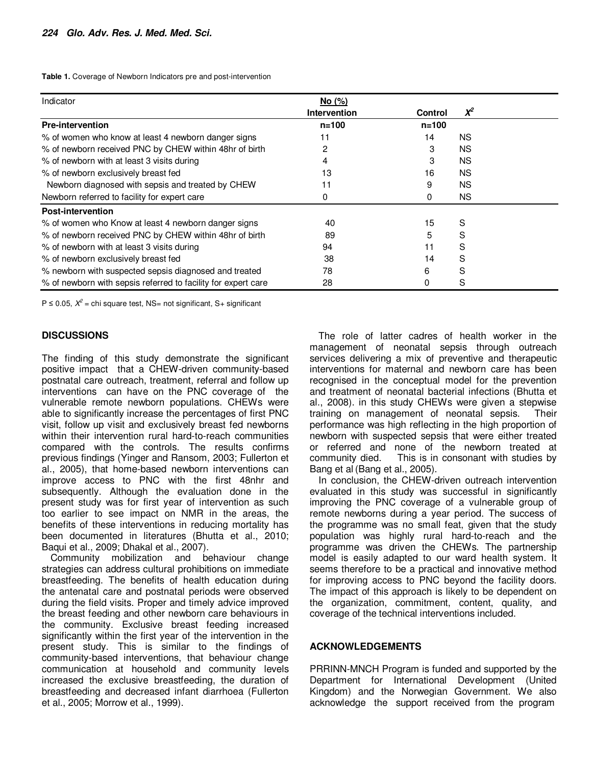**Table 1.** Coverage of Newborn Indicators pre and post-intervention

| Indicator                                                     | No (%)              |           |          |
|---------------------------------------------------------------|---------------------|-----------|----------|
|                                                               | <b>Intervention</b> | Control   | $\chi^2$ |
| <b>Pre-intervention</b>                                       | $n = 100$           | $n = 100$ |          |
| % of women who know at least 4 newborn danger signs           | 11                  | 14        | NS.      |
| % of newborn received PNC by CHEW within 48hr of birth        | 2                   | 3         | NS.      |
| % of newborn with at least 3 visits during                    |                     | 3         | NS.      |
| % of newborn exclusively breast fed                           | 13                  | 16        | NS.      |
| Newborn diagnosed with sepsis and treated by CHEW             | 11                  | 9         | NS.      |
| Newborn referred to facility for expert care                  | 0                   | 0         | NS.      |
| <b>Post-intervention</b>                                      |                     |           |          |
| % of women who Know at least 4 newborn danger signs           | 40                  | 15        | S        |
| % of newborn received PNC by CHEW within 48hr of birth        | 89                  | 5         | S        |
| % of newborn with at least 3 visits during                    | 94                  | 11        | S        |
| % of newborn exclusively breast fed                           | 38                  | 14        | S        |
| % newborn with suspected sepsis diagnosed and treated         | 78                  | 6         | S        |
| % of newborn with sepsis referred to facility for expert care | 28                  | 0         | S        |

P ≤ 0.05,  $X^2$  = chi square test, NS= not significant, S+ significant

#### **DISCUSSIONS**

The finding of this study demonstrate the significant positive impact that a CHEW-driven community-based postnatal care outreach, treatment, referral and follow up interventions can have on the PNC coverage of the vulnerable remote newborn populations. CHEWs were able to significantly increase the percentages of first PNC visit, follow up visit and exclusively breast fed newborns within their intervention rural hard-to-reach communities compared with the controls. The results confirms previous findings (Yinger and Ransom, 2003; Fullerton et al., 2005), that home-based newborn interventions can improve access to PNC with the first 48nhr and subsequently. Although the evaluation done in the present study was for first year of intervention as such too earlier to see impact on NMR in the areas, the benefits of these interventions in reducing mortality has been documented in literatures (Bhutta et al., 2010; Baqui et al., 2009; Dhakal et al., 2007).

Community mobilization and behaviour change strategies can address cultural prohibitions on immediate breastfeeding. The benefits of health education during the antenatal care and postnatal periods were observed during the field visits. Proper and timely advice improved the breast feeding and other newborn care behaviours in the community. Exclusive breast feeding increased significantly within the first year of the intervention in the present study. This is similar to the findings of community-based interventions, that behaviour change communication at household and community levels increased the exclusive breastfeeding, the duration of breastfeeding and decreased infant diarrhoea (Fullerton et al., 2005; Morrow et al., 1999).

The role of latter cadres of health worker in the management of neonatal sepsis through outreach services delivering a mix of preventive and therapeutic interventions for maternal and newborn care has been recognised in the conceptual model for the prevention and treatment of neonatal bacterial infections (Bhutta et al., 2008). in this study CHEWs were given a stepwise training on management of neonatal sepsis. Their performance was high reflecting in the high proportion of newborn with suspected sepsis that were either treated or referred and none of the newborn treated at community died. This is in consonant with studies by Bang et al (Bang et al., 2005).

In conclusion, the CHEW-driven outreach intervention evaluated in this study was successful in significantly improving the PNC coverage of a vulnerable group of remote newborns during a year period. The success of the programme was no small feat, given that the study population was highly rural hard-to-reach and the programme was driven the CHEWs. The partnership model is easily adapted to our ward health system. It seems therefore to be a practical and innovative method for improving access to PNC beyond the facility doors. The impact of this approach is likely to be dependent on the organization, commitment, content, quality, and coverage of the technical interventions included.

#### **ACKNOWLEDGEMENTS**

PRRINN-MNCH Program is funded and supported by the Department for International Development (United Kingdom) and the Norwegian Government. We also acknowledge the support received from the program